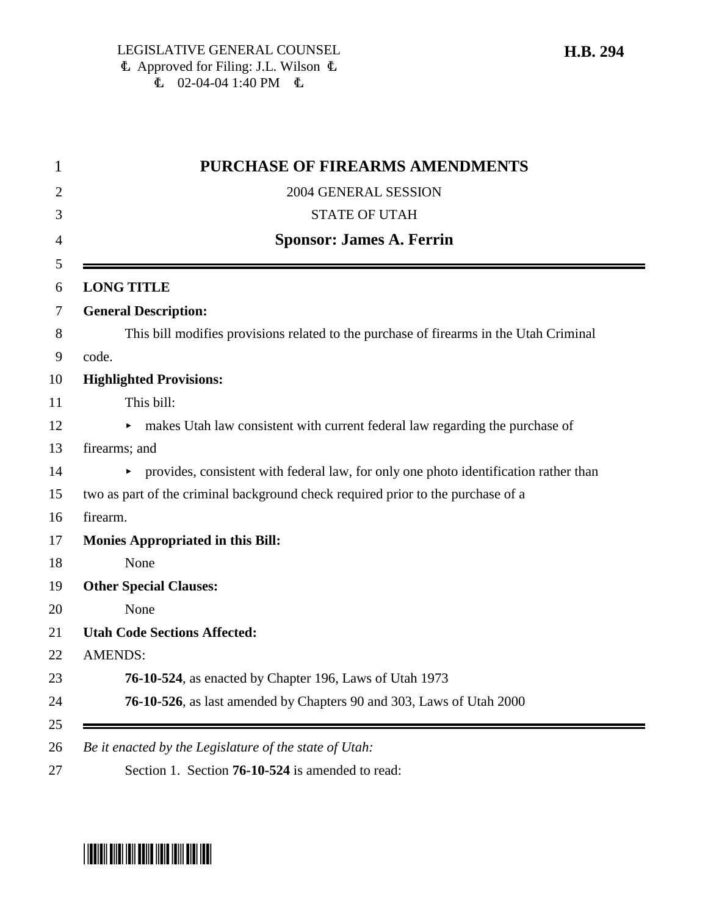| <b>PURCHASE OF FIREARMS AMENDMENTS</b>                                                 |
|----------------------------------------------------------------------------------------|
| 2004 GENERAL SESSION                                                                   |
| <b>STATE OF UTAH</b>                                                                   |
| <b>Sponsor: James A. Ferrin</b>                                                        |
| <b>LONG TITLE</b>                                                                      |
| <b>General Description:</b>                                                            |
| This bill modifies provisions related to the purchase of firearms in the Utah Criminal |
| code.                                                                                  |
| <b>Highlighted Provisions:</b>                                                         |
| This bill:                                                                             |
| • makes Utah law consistent with current federal law regarding the purchase of         |
| firearms; and                                                                          |
| provides, consistent with federal law, for only one photo identification rather than   |
| two as part of the criminal background check required prior to the purchase of a       |
| firearm.                                                                               |
| <b>Monies Appropriated in this Bill:</b>                                               |
| None                                                                                   |
| <b>Other Special Clauses:</b>                                                          |
| None                                                                                   |
| <b>Utah Code Sections Affected:</b>                                                    |
| <b>AMENDS:</b>                                                                         |
| 76-10-524, as enacted by Chapter 196, Laws of Utah 1973                                |
| 76-10-526, as last amended by Chapters 90 and 303, Laws of Utah 2000                   |

# \*HB0294\*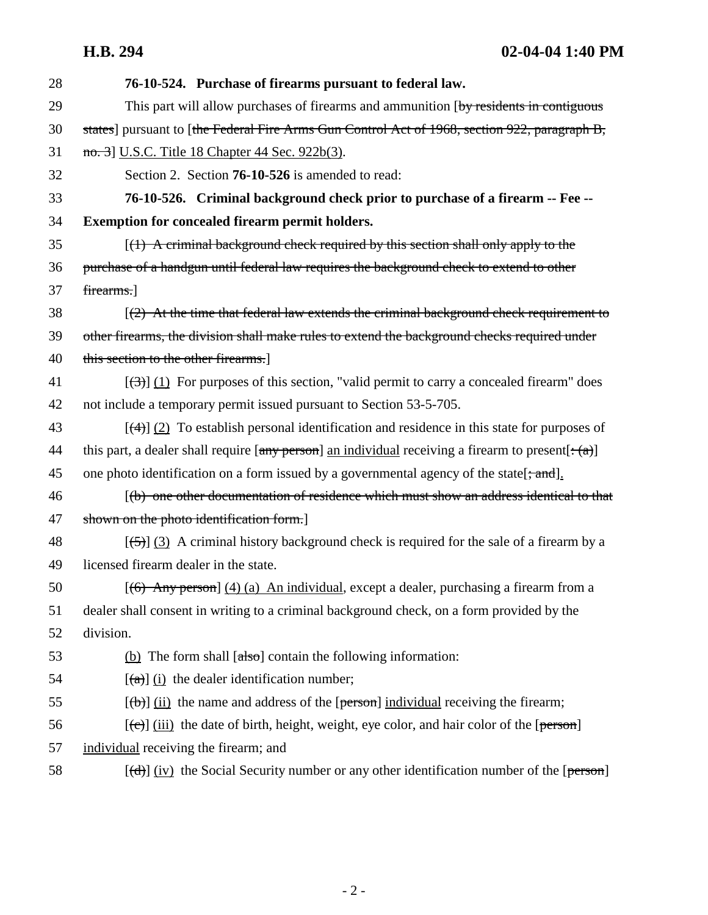**H.B. 294 02-04-04 1:40 PM**

| 28 | 76-10-524. Purchase of firearms pursuant to federal law.                                                                                                                                                                                                                                                                                                                                                                                                                                   |
|----|--------------------------------------------------------------------------------------------------------------------------------------------------------------------------------------------------------------------------------------------------------------------------------------------------------------------------------------------------------------------------------------------------------------------------------------------------------------------------------------------|
| 29 | This part will allow purchases of firearms and ammunition [by residents in contiguous]                                                                                                                                                                                                                                                                                                                                                                                                     |
| 30 | states] pursuant to [the Federal Fire Arms Gun Control Act of 1968, section 922, paragraph B,                                                                                                                                                                                                                                                                                                                                                                                              |
| 31 | no. 3] U.S.C. Title 18 Chapter 44 Sec. 922b(3).                                                                                                                                                                                                                                                                                                                                                                                                                                            |
| 32 | Section 2. Section <b>76-10-526</b> is amended to read:                                                                                                                                                                                                                                                                                                                                                                                                                                    |
| 33 | 76-10-526. Criminal background check prior to purchase of a firearm -- Fee --                                                                                                                                                                                                                                                                                                                                                                                                              |
| 34 | <b>Exemption for concealed firearm permit holders.</b>                                                                                                                                                                                                                                                                                                                                                                                                                                     |
| 35 | $(1)$ A criminal background check required by this section shall only apply to the                                                                                                                                                                                                                                                                                                                                                                                                         |
| 36 | purchase of a handgun until federal law requires the background check to extend to other                                                                                                                                                                                                                                                                                                                                                                                                   |
| 37 | firearms.                                                                                                                                                                                                                                                                                                                                                                                                                                                                                  |
| 38 | $(2)$ At the time that federal law extends the criminal background check requirement to                                                                                                                                                                                                                                                                                                                                                                                                    |
| 39 | other firearms, the division shall make rules to extend the background checks required under                                                                                                                                                                                                                                                                                                                                                                                               |
| 40 | this section to the other firearms.                                                                                                                                                                                                                                                                                                                                                                                                                                                        |
| 41 | $[\langle 3\rangle]$ (1) For purposes of this section, "valid permit to carry a concealed firearm" does                                                                                                                                                                                                                                                                                                                                                                                    |
| 42 | not include a temporary permit issued pursuant to Section 53-5-705.                                                                                                                                                                                                                                                                                                                                                                                                                        |
| 43 | $[\frac{4}{2}]$ (2) To establish personal identification and residence in this state for purposes of                                                                                                                                                                                                                                                                                                                                                                                       |
| 44 | this part, a dealer shall require $[\text{any person}]$ an individual receiving a firearm to present $[\cdot(\alpha)]$                                                                                                                                                                                                                                                                                                                                                                     |
| 45 | one photo identification on a form issued by a governmental agency of the state[; and].                                                                                                                                                                                                                                                                                                                                                                                                    |
| 46 | [(b) one other documentation of residence which must show an address identical to that                                                                                                                                                                                                                                                                                                                                                                                                     |
| 47 | shown on the photo identification form.]                                                                                                                                                                                                                                                                                                                                                                                                                                                   |
| 48 | $[\frac{5}{3}]$ (3) A criminal history background check is required for the sale of a firearm by a                                                                                                                                                                                                                                                                                                                                                                                         |
| 49 | licensed firearm dealer in the state.                                                                                                                                                                                                                                                                                                                                                                                                                                                      |
| 50 | $[(6)$ Any person] (4) (a) An individual, except a dealer, purchasing a firearm from a                                                                                                                                                                                                                                                                                                                                                                                                     |
| 51 | dealer shall consent in writing to a criminal background check, on a form provided by the                                                                                                                                                                                                                                                                                                                                                                                                  |
| 52 | division.                                                                                                                                                                                                                                                                                                                                                                                                                                                                                  |
| 53 | (b) The form shall $[also]$ contain the following information:                                                                                                                                                                                                                                                                                                                                                                                                                             |
| 54 | $\left[\frac{a}{a}\right]$ (i) the dealer identification number;                                                                                                                                                                                                                                                                                                                                                                                                                           |
| 55 | $[\langle \theta \rangle]$ (ii) the name and address of the [person] individual receiving the firearm;                                                                                                                                                                                                                                                                                                                                                                                     |
| 56 | $[\text{(-c)}]$ (iii) the date of birth, height, weight, eye color, and hair color of the [person]                                                                                                                                                                                                                                                                                                                                                                                         |
| 57 | individual receiving the firearm; and                                                                                                                                                                                                                                                                                                                                                                                                                                                      |
| 58 | $[\text{d} \cdot \text{d} \cdot \text{d} \cdot \text{d} \cdot \text{d} \cdot \text{d} \cdot \text{d} \cdot \text{d} \cdot \text{d} \cdot \text{d} \cdot \text{d} \cdot \text{d} \cdot \text{d} \cdot \text{d} \cdot \text{d} \cdot \text{d} \cdot \text{d} \cdot \text{d} \cdot \text{d} \cdot \text{d} \cdot \text{d} \cdot \text{d} \cdot \text{d} \cdot \text{d} \cdot \text{d} \cdot \text{d} \cdot \text{d} \cdot \text{d} \cdot \text{d} \cdot \text{d} \cdot \text{d} \cdot \text{$ |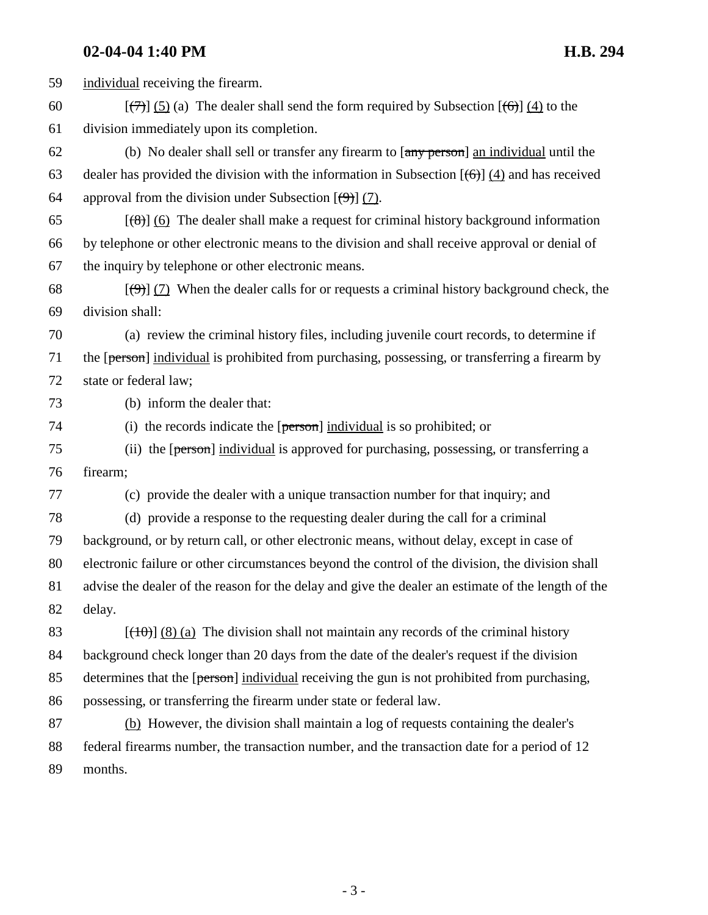**02-04-04 1:40 PM H.B. 294** 59 individual receiving the firearm. 60  $[\frac{7}{7}]$  (5) (a) The dealer shall send the form required by Subsection  $[\frac{6}{7}]$  (4) to the 61 division immediately upon its completion. 62 (b) No dealer shall sell or transfer any firearm to [any person] an individual until the 63 dealer has provided the division with the information in Subsection  $[(6)]$  (4) and has received 64 approval from the division under Subsection  $(\theta)$  (7). 65  $[(8)]$  (6) The dealer shall make a request for criminal history background information 66 by telephone or other electronic means to the division and shall receive approval or denial of 67 the inquiry by telephone or other electronic means. 68  $\left[\left(\frac{9}{2}\right)\right]$  (7) When the dealer calls for or requests a criminal history background check, the 69 division shall: 70 (a) review the criminal history files, including juvenile court records, to determine if 71 the [person] individual is prohibited from purchasing, possessing, or transferring a firearm by 72 state or federal law; 73 (b) inform the dealer that: 74 (i) the records indicate the  $[person]$  individual is so prohibited; or 75 (ii) the [person] individual is approved for purchasing, possessing, or transferring a 76 firearm; 77 (c) provide the dealer with a unique transaction number for that inquiry; and 78 (d) provide a response to the requesting dealer during the call for a criminal 79 background, or by return call, or other electronic means, without delay, except in case of 80 electronic failure or other circumstances beyond the control of the division, the division shall 81 advise the dealer of the reason for the delay and give the dealer an estimate of the length of the 82 delay. 83  $\left[\frac{10}{10}\right]$  (8) (a) The division shall not maintain any records of the criminal history 84 background check longer than 20 days from the date of the dealer's request if the division 85 determines that the [person] individual receiving the gun is not prohibited from purchasing, 86 possessing, or transferring the firearm under state or federal law. 87 (b) However, the division shall maintain a log of requests containing the dealer's 88 federal firearms number, the transaction number, and the transaction date for a period of 12 89 months.

- 3 -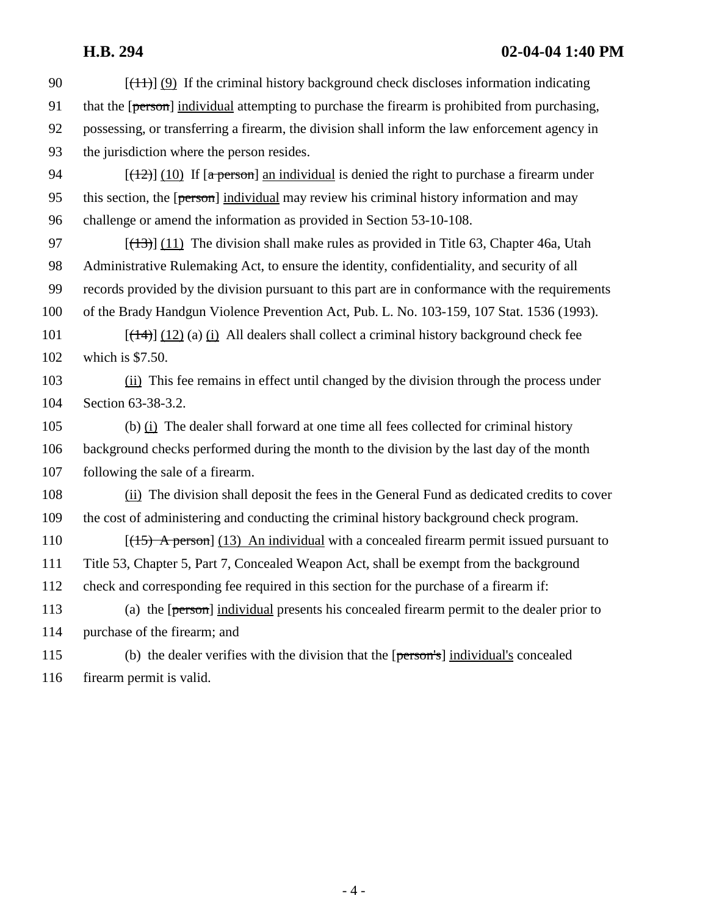## **H.B. 294 02-04-04 1:40 PM**

| 90  | $[$ (4+)] (9) If the criminal history background check discloses information indicating          |
|-----|--------------------------------------------------------------------------------------------------|
| 91  | that the [person] individual attempting to purchase the firearm is prohibited from purchasing,   |
| 92  | possessing, or transferring a firearm, the division shall inform the law enforcement agency in   |
| 93  | the jurisdiction where the person resides.                                                       |
| 94  | $[(12)$ (10) If $\alpha$ person] an individual is denied the right to purchase a firearm under   |
| 95  | this section, the [person] individual may review his criminal history information and may        |
| 96  | challenge or amend the information as provided in Section 53-10-108.                             |
| 97  | $[(13)$ ] (11) The division shall make rules as provided in Title 63, Chapter 46a, Utah          |
| 98  | Administrative Rulemaking Act, to ensure the identity, confidentiality, and security of all      |
| 99  | records provided by the division pursuant to this part are in conformance with the requirements  |
| 100 | of the Brady Handgun Violence Prevention Act, Pub. L. No. 103-159, 107 Stat. 1536 (1993).        |
| 101 | $[\frac{14}{12}]$ (12) (a) (i) All dealers shall collect a criminal history background check fee |
| 102 | which is $$7.50$ .                                                                               |
| 103 | (ii) This fee remains in effect until changed by the division through the process under          |
| 104 | Section 63-38-3.2.                                                                               |
| 105 | (b) $(i)$ The dealer shall forward at one time all fees collected for criminal history           |
| 106 | background checks performed during the month to the division by the last day of the month        |
| 107 | following the sale of a firearm.                                                                 |
| 108 | (ii) The division shall deposit the fees in the General Fund as dedicated credits to cover       |
| 109 | the cost of administering and conducting the criminal history background check program.          |
| 110 | $[(15)$ A person] (13) An individual with a concealed firearm permit issued pursuant to          |
| 111 | Title 53, Chapter 5, Part 7, Concealed Weapon Act, shall be exempt from the background           |
| 112 | check and corresponding fee required in this section for the purchase of a firearm if:           |
| 113 | (a) the [person] individual presents his concealed firearm permit to the dealer prior to         |
| 114 | purchase of the firearm; and                                                                     |
| 115 | (b) the dealer verifies with the division that the [person's] individual's concealed             |
| 116 | firearm permit is valid.                                                                         |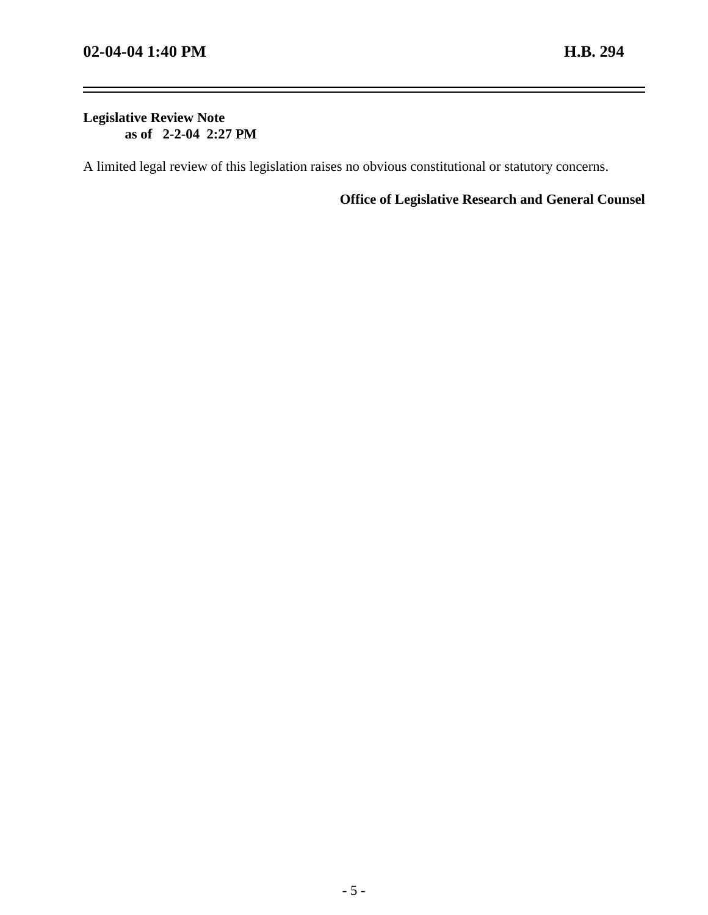-

#### **Legislative Review Note as of 2-2-04 2:27 PM**

A limited legal review of this legislation raises no obvious constitutional or statutory concerns.

**Office of Legislative Research and General Counsel**